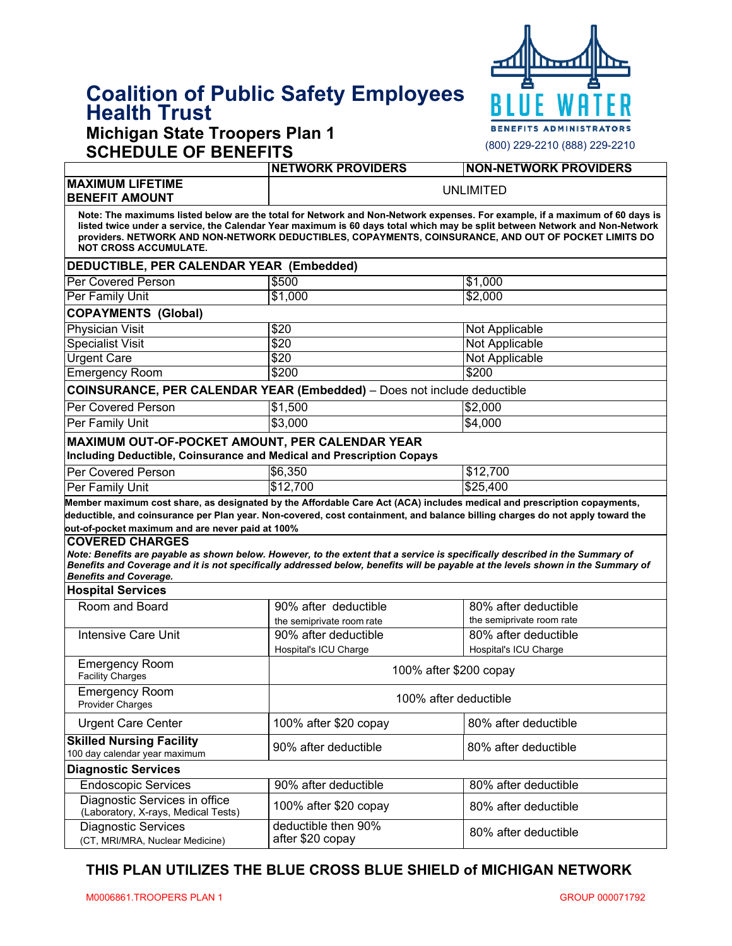# **Coalition of Public Safety Employees Health Trust**

### **Michigan State Troopers Plan 1 SCHEDULE OF BENEFITS**



| UIILDULL UI DLIILI II                                                                                                                                                                                                                                                                                                                                                                                                                                                           | <b>NETWORK PROVIDERS</b>                | <b>NON-NETWORK PROVIDERS</b> |  |  |
|---------------------------------------------------------------------------------------------------------------------------------------------------------------------------------------------------------------------------------------------------------------------------------------------------------------------------------------------------------------------------------------------------------------------------------------------------------------------------------|-----------------------------------------|------------------------------|--|--|
| <b>MAXIMUM LIFETIME</b><br><b>BENEFIT AMOUNT</b>                                                                                                                                                                                                                                                                                                                                                                                                                                | <b>UNLIMITED</b>                        |                              |  |  |
| Note: The maximums listed below are the total for Network and Non-Network expenses. For example, if a maximum of 60 days is<br>listed twice under a service, the Calendar Year maximum is 60 days total which may be split between Network and Non-Network<br>providers. NETWORK AND NON-NETWORK DEDUCTIBLES, COPAYMENTS, COINSURANCE, AND OUT OF POCKET LIMITS DO<br><b>NOT CROSS ACCUMULATE.</b>                                                                              |                                         |                              |  |  |
| DEDUCTIBLE, PER CALENDAR YEAR (Embedded)                                                                                                                                                                                                                                                                                                                                                                                                                                        |                                         |                              |  |  |
| <b>Per Covered Person</b>                                                                                                                                                                                                                                                                                                                                                                                                                                                       | \$500                                   | \$1,000                      |  |  |
| Per Family Unit                                                                                                                                                                                                                                                                                                                                                                                                                                                                 | \$1,000                                 | \$2,000                      |  |  |
| <b>COPAYMENTS (Global)</b>                                                                                                                                                                                                                                                                                                                                                                                                                                                      |                                         |                              |  |  |
| <b>Physician Visit</b>                                                                                                                                                                                                                                                                                                                                                                                                                                                          | \$20                                    | Not Applicable               |  |  |
| <b>Specialist Visit</b>                                                                                                                                                                                                                                                                                                                                                                                                                                                         | \$20                                    | Not Applicable               |  |  |
| <b>Urgent Care</b>                                                                                                                                                                                                                                                                                                                                                                                                                                                              | \$20                                    | <b>Not Applicable</b>        |  |  |
| <b>Emergency Room</b>                                                                                                                                                                                                                                                                                                                                                                                                                                                           | \$200                                   | \$200                        |  |  |
| <b>COINSURANCE, PER CALENDAR YEAR (Embedded)</b> - Does not include deductible                                                                                                                                                                                                                                                                                                                                                                                                  |                                         |                              |  |  |
| Per Covered Person                                                                                                                                                                                                                                                                                                                                                                                                                                                              | \$1,500                                 | \$2,000                      |  |  |
| Per Family Unit                                                                                                                                                                                                                                                                                                                                                                                                                                                                 | \$3,000                                 | \$4,000                      |  |  |
| MAXIMUM OUT-OF-POCKET AMOUNT, PER CALENDAR YEAR<br>Including Deductible, Coinsurance and Medical and Prescription Copays                                                                                                                                                                                                                                                                                                                                                        |                                         |                              |  |  |
| Per Covered Person                                                                                                                                                                                                                                                                                                                                                                                                                                                              | \$6,350                                 | \$12,700                     |  |  |
| Per Family Unit                                                                                                                                                                                                                                                                                                                                                                                                                                                                 | \$12,700                                | \$25,400                     |  |  |
| deductible, and coinsurance per Plan year. Non-covered, cost containment, and balance billing charges do not apply toward the<br>out-of-pocket maximum and are never paid at 100%<br><b>COVERED CHARGES</b><br>Note: Benefits are payable as shown below. However, to the extent that a service is specifically described in the Summary of<br>Benefits and Coverage and it is not specifically addressed below, benefits will be payable at the levels shown in the Summary of |                                         |                              |  |  |
| <b>Benefits and Coverage.</b>                                                                                                                                                                                                                                                                                                                                                                                                                                                   |                                         |                              |  |  |
| <b>Hospital Services</b><br>Room and Board                                                                                                                                                                                                                                                                                                                                                                                                                                      | 90% after deductible                    | 80% after deductible         |  |  |
|                                                                                                                                                                                                                                                                                                                                                                                                                                                                                 | the semiprivate room rate               | the semiprivate room rate    |  |  |
| <b>Intensive Care Unit</b>                                                                                                                                                                                                                                                                                                                                                                                                                                                      | 90% after deductible                    | 80% after deductible         |  |  |
|                                                                                                                                                                                                                                                                                                                                                                                                                                                                                 | Hospital's ICU Charge                   | Hospital's ICU Charge        |  |  |
| <b>Emergency Room</b><br><b>Facility Charges</b>                                                                                                                                                                                                                                                                                                                                                                                                                                | 100% after \$200 copay                  |                              |  |  |
| <b>Emergency Room</b><br><b>Provider Charges</b>                                                                                                                                                                                                                                                                                                                                                                                                                                | 100% after deductible                   |                              |  |  |
| <b>Urgent Care Center</b>                                                                                                                                                                                                                                                                                                                                                                                                                                                       | 100% after \$20 copay                   | 80% after deductible         |  |  |
| <b>Skilled Nursing Facility</b><br>100 day calendar year maximum                                                                                                                                                                                                                                                                                                                                                                                                                | 90% after deductible                    | 80% after deductible         |  |  |
| <b>Diagnostic Services</b>                                                                                                                                                                                                                                                                                                                                                                                                                                                      |                                         |                              |  |  |
| <b>Endoscopic Services</b>                                                                                                                                                                                                                                                                                                                                                                                                                                                      | 90% after deductible                    | 80% after deductible         |  |  |
| Diagnostic Services in office<br>(Laboratory, X-rays, Medical Tests)                                                                                                                                                                                                                                                                                                                                                                                                            | 100% after \$20 copay                   | 80% after deductible         |  |  |
| <b>Diagnostic Services</b><br>(CT, MRI/MRA, Nuclear Medicine)                                                                                                                                                                                                                                                                                                                                                                                                                   | deductible then 90%<br>after \$20 copay | 80% after deductible         |  |  |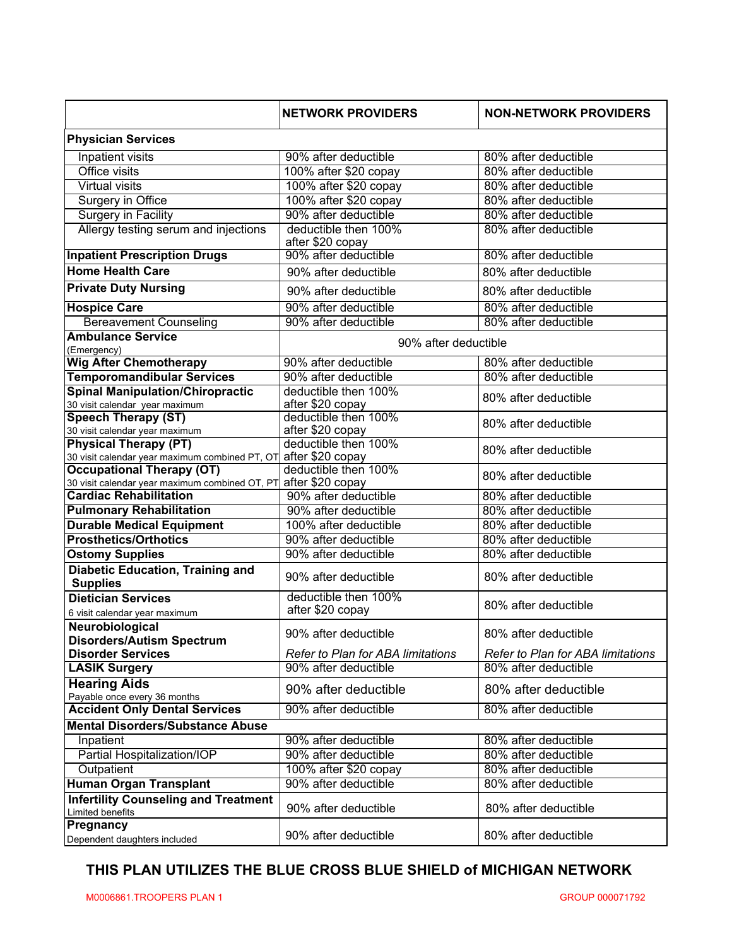|                                                                                    | <b>NETWORK PROVIDERS</b>                 | <b>NON-NETWORK PROVIDERS</b>      |
|------------------------------------------------------------------------------------|------------------------------------------|-----------------------------------|
| <b>Physician Services</b>                                                          |                                          |                                   |
| Inpatient visits                                                                   | 90% after deductible                     | 80% after deductible              |
| Office visits                                                                      | 100% after \$20 copay                    | 80% after deductible              |
| <b>Virtual visits</b>                                                              | 100% after \$20 copay                    | 80% after deductible              |
| Surgery in Office                                                                  | 100% after \$20 copay                    | 80% after deductible              |
| <b>Surgery in Facility</b>                                                         | 90% after deductible                     | 80% after deductible              |
| Allergy testing serum and injections                                               | deductible then 100%<br>after \$20 copay | 80% after deductible              |
| <b>Inpatient Prescription Drugs</b>                                                | 90% after deductible                     | 80% after deductible              |
| <b>Home Health Care</b>                                                            | 90% after deductible                     | 80% after deductible              |
| <b>Private Duty Nursing</b>                                                        | 90% after deductible                     | 80% after deductible              |
| <b>Hospice Care</b>                                                                | 90% after deductible                     | 80% after deductible              |
| <b>Bereavement Counseling</b>                                                      | 90% after deductible                     | 80% after deductible              |
| <b>Ambulance Service</b>                                                           |                                          |                                   |
| (Emergency)                                                                        | 90% after deductible                     |                                   |
| <b>Wig After Chemotherapy</b>                                                      | 90% after deductible                     | 80% after deductible              |
| <b>Temporomandibular Services</b>                                                  | 90% after deductible                     | 80% after deductible              |
| <b>Spinal Manipulation/Chiropractic</b>                                            | deductible then 100%                     | 80% after deductible              |
| 30 visit calendar year maximum                                                     | after \$20 copay                         |                                   |
| <b>Speech Therapy (ST)</b>                                                         | deductible then 100%                     | 80% after deductible              |
| 30 visit calendar year maximum                                                     | after \$20 copay                         |                                   |
| <b>Physical Therapy (PT)</b>                                                       | deductible then 100%                     | 80% after deductible              |
| 30 visit calendar year maximum combined PT, OT<br><b>Occupational Therapy (OT)</b> | after \$20 copay<br>deductible then 100% |                                   |
| 30 visit calendar year maximum combined OT, PT                                     | after \$20 copay                         | 80% after deductible              |
| <b>Cardiac Rehabilitation</b>                                                      | 90% after deductible                     | 80% after deductible              |
| <b>Pulmonary Rehabilitation</b>                                                    | 90% after deductible                     | 80% after deductible              |
| <b>Durable Medical Equipment</b>                                                   | 100% after deductible                    | 80% after deductible              |
| <b>Prosthetics/Orthotics</b>                                                       | 90% after deductible                     | 80% after deductible              |
| <b>Ostomy Supplies</b>                                                             | 90% after deductible                     | 80% after deductible              |
| <b>Diabetic Education, Training and</b>                                            |                                          |                                   |
| <b>Supplies</b>                                                                    | 90% after deductible                     | 80% after deductible              |
| <b>Dietician Services</b>                                                          | deductible then 100%                     | 80% after deductible              |
| 6 visit calendar year maximum                                                      | after \$20 copay                         |                                   |
| Neurobiological<br><b>Disorders/Autism Spectrum</b>                                | 90% after deductible                     | 80% after deductible              |
| <b>Disorder Services</b>                                                           | <b>Refer to Plan for ABA limitations</b> | Refer to Plan for ABA limitations |
| <b>LASIK Surgery</b>                                                               | 90% after deductible                     | 80% after deductible              |
| <b>Hearing Aids</b>                                                                | 90% after deductible                     | 80% after deductible              |
| Payable once every 36 months                                                       |                                          |                                   |
| <b>Accident Only Dental Services</b>                                               | 90% after deductible                     | 80% after deductible              |
| <b>Mental Disorders/Substance Abuse</b>                                            |                                          |                                   |
| Inpatient                                                                          | 90% after deductible                     | 80% after deductible              |
| Partial Hospitalization/IOP                                                        | 90% after deductible                     | 80% after deductible              |
| Outpatient                                                                         | 100% after \$20 copay                    | 80% after deductible              |
| <b>Human Organ Transplant</b>                                                      | 90% after deductible                     | 80% after deductible              |
| <b>Infertility Counseling and Treatment</b><br>Limited benefits                    | 90% after deductible                     | 80% after deductible              |
| Pregnancy<br>Dependent daughters included                                          | 90% after deductible                     | 80% after deductible              |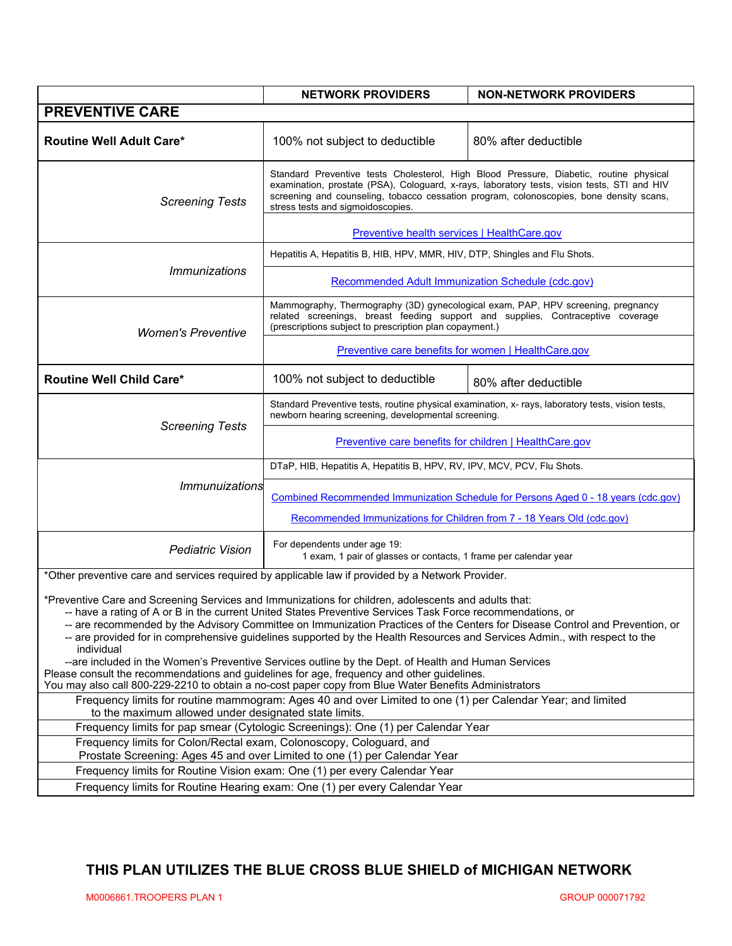|                                                                                                                                                                                                                                                                                                                                                                                                                                                                                                                                                                                                                                                                                                                                                                                                              | <b>NETWORK PROVIDERS</b>                                                                                                                                                                                                                                                                                              | <b>NON-NETWORK PROVIDERS</b> |  |
|--------------------------------------------------------------------------------------------------------------------------------------------------------------------------------------------------------------------------------------------------------------------------------------------------------------------------------------------------------------------------------------------------------------------------------------------------------------------------------------------------------------------------------------------------------------------------------------------------------------------------------------------------------------------------------------------------------------------------------------------------------------------------------------------------------------|-----------------------------------------------------------------------------------------------------------------------------------------------------------------------------------------------------------------------------------------------------------------------------------------------------------------------|------------------------------|--|
| <b>PREVENTIVE CARE</b>                                                                                                                                                                                                                                                                                                                                                                                                                                                                                                                                                                                                                                                                                                                                                                                       |                                                                                                                                                                                                                                                                                                                       |                              |  |
| <b>Routine Well Adult Care*</b>                                                                                                                                                                                                                                                                                                                                                                                                                                                                                                                                                                                                                                                                                                                                                                              | 100% not subject to deductible                                                                                                                                                                                                                                                                                        | 80% after deductible         |  |
| <b>Screening Tests</b>                                                                                                                                                                                                                                                                                                                                                                                                                                                                                                                                                                                                                                                                                                                                                                                       | Standard Preventive tests Cholesterol, High Blood Pressure, Diabetic, routine physical<br>examination, prostate (PSA), Cologuard, x-rays, laboratory tests, vision tests, STI and HIV<br>screening and counseling, tobacco cessation program, colonoscopies, bone density scans,<br>stress tests and sigmoidoscopies. |                              |  |
|                                                                                                                                                                                                                                                                                                                                                                                                                                                                                                                                                                                                                                                                                                                                                                                                              | Preventive health services   HealthCare.gov                                                                                                                                                                                                                                                                           |                              |  |
| <i><b>Immunizations</b></i>                                                                                                                                                                                                                                                                                                                                                                                                                                                                                                                                                                                                                                                                                                                                                                                  | Hepatitis A, Hepatitis B, HIB, HPV, MMR, HIV, DTP, Shingles and Flu Shots.                                                                                                                                                                                                                                            |                              |  |
|                                                                                                                                                                                                                                                                                                                                                                                                                                                                                                                                                                                                                                                                                                                                                                                                              | <b>Recommended Adult Immunization Schedule (cdc.gov)</b>                                                                                                                                                                                                                                                              |                              |  |
| <b>Women's Preventive</b>                                                                                                                                                                                                                                                                                                                                                                                                                                                                                                                                                                                                                                                                                                                                                                                    | Mammography, Thermography (3D) gynecological exam, PAP, HPV screening, pregnancy<br>related screenings, breast feeding support and supplies, Contraceptive coverage<br>(prescriptions subject to prescription plan copayment.)                                                                                        |                              |  |
|                                                                                                                                                                                                                                                                                                                                                                                                                                                                                                                                                                                                                                                                                                                                                                                                              | Preventive care benefits for women   HealthCare.gov                                                                                                                                                                                                                                                                   |                              |  |
| <b>Routine Well Child Care*</b>                                                                                                                                                                                                                                                                                                                                                                                                                                                                                                                                                                                                                                                                                                                                                                              | 100% not subject to deductible                                                                                                                                                                                                                                                                                        | 80% after deductible         |  |
| <b>Screening Tests</b>                                                                                                                                                                                                                                                                                                                                                                                                                                                                                                                                                                                                                                                                                                                                                                                       | Standard Preventive tests, routine physical examination, x- rays, laboratory tests, vision tests,<br>newborn hearing screening, developmental screening.                                                                                                                                                              |                              |  |
|                                                                                                                                                                                                                                                                                                                                                                                                                                                                                                                                                                                                                                                                                                                                                                                                              | <b>Preventive care benefits for children   HealthCare.gov</b>                                                                                                                                                                                                                                                         |                              |  |
| Immunuizations                                                                                                                                                                                                                                                                                                                                                                                                                                                                                                                                                                                                                                                                                                                                                                                               | DTaP, HIB, Hepatitis A, Hepatitis B, HPV, RV, IPV, MCV, PCV, Flu Shots.                                                                                                                                                                                                                                               |                              |  |
|                                                                                                                                                                                                                                                                                                                                                                                                                                                                                                                                                                                                                                                                                                                                                                                                              | Combined Recommended Immunization Schedule for Persons Aged 0 - 18 years (cdc.gov)                                                                                                                                                                                                                                    |                              |  |
|                                                                                                                                                                                                                                                                                                                                                                                                                                                                                                                                                                                                                                                                                                                                                                                                              | Recommended Immunizations for Children from 7 - 18 Years Old (cdc.gov)                                                                                                                                                                                                                                                |                              |  |
| <b>Pediatric Vision</b>                                                                                                                                                                                                                                                                                                                                                                                                                                                                                                                                                                                                                                                                                                                                                                                      | For dependents under age 19:<br>1 exam, 1 pair of glasses or contacts, 1 frame per calendar year                                                                                                                                                                                                                      |                              |  |
| *Other preventive care and services required by applicable law if provided by a Network Provider.                                                                                                                                                                                                                                                                                                                                                                                                                                                                                                                                                                                                                                                                                                            |                                                                                                                                                                                                                                                                                                                       |                              |  |
| *Preventive Care and Screening Services and Immunizations for children, adolescents and adults that:<br>-- have a rating of A or B in the current United States Preventive Services Task Force recommendations, or<br>-- are recommended by the Advisory Committee on Immunization Practices of the Centers for Disease Control and Prevention, or<br>-- are provided for in comprehensive guidelines supported by the Health Resources and Services Admin., with respect to the<br>individual<br>--are included in the Women's Preventive Services outline by the Dept. of Health and Human Services<br>Please consult the recommendations and guidelines for age, frequency and other guidelines.<br>You may also call 800-229-2210 to obtain a no-cost paper copy from Blue Water Benefits Administrators |                                                                                                                                                                                                                                                                                                                       |                              |  |
| Frequency limits for routine mammogram: Ages 40 and over Limited to one (1) per Calendar Year; and limited<br>to the maximum allowed under designated state limits.                                                                                                                                                                                                                                                                                                                                                                                                                                                                                                                                                                                                                                          |                                                                                                                                                                                                                                                                                                                       |                              |  |
| Frequency limits for pap smear (Cytologic Screenings): One (1) per Calendar Year                                                                                                                                                                                                                                                                                                                                                                                                                                                                                                                                                                                                                                                                                                                             |                                                                                                                                                                                                                                                                                                                       |                              |  |
| Frequency limits for Colon/Rectal exam, Colonoscopy, Cologuard, and<br>Prostate Screening: Ages 45 and over Limited to one (1) per Calendar Year                                                                                                                                                                                                                                                                                                                                                                                                                                                                                                                                                                                                                                                             |                                                                                                                                                                                                                                                                                                                       |                              |  |
| Frequency limits for Routine Vision exam: One (1) per every Calendar Year                                                                                                                                                                                                                                                                                                                                                                                                                                                                                                                                                                                                                                                                                                                                    |                                                                                                                                                                                                                                                                                                                       |                              |  |
|                                                                                                                                                                                                                                                                                                                                                                                                                                                                                                                                                                                                                                                                                                                                                                                                              | Frequency limits for Routine Hearing exam: One (1) per every Calendar Year                                                                                                                                                                                                                                            |                              |  |